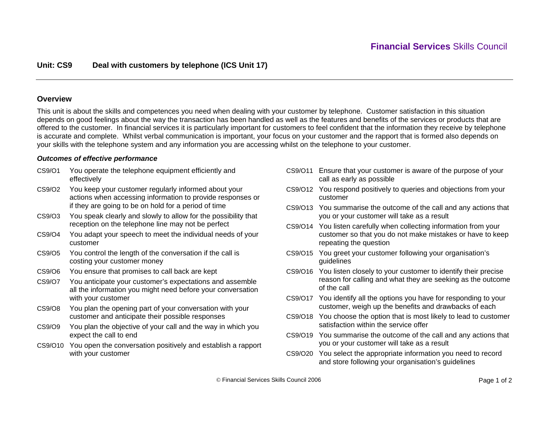## **Overview**

This unit is about the skills and competences you need when dealing with your customer by telephone. Customer satisfaction in this situation depends on good feelings about the way the transaction has been handled as well as the features and benefits of the services or products that are offered to the customer. In financial services it is particularly important for customers to feel confident that the information they receive by telephone is accurate and complete. Whilst verbal communication is important, your focus on your customer and the rapport that is formed also depends on your skills with the telephone system and any information you are accessing whilst on the telephone to your customer.

### *Outcomes of effective performance*

- CS9/O1 You operate the telephone equipment efficiently and effectively
- CS9/O2 You keep your customer regularly informed about your actions when accessing information to provide responses or if they are going to be on hold for a period of time
- CS9/O3 You speak clearly and slowly to allow for the possibility that reception on the telephone line may not be perfect
- CS9/O4 You adapt your speech to meet the individual needs of your customer
- CS9/O5 You control the length of the conversation if the call is costing your customer money
- CS9/O6 You ensure that promises to call back are kept
- CS9/O7 You anticipate your customer's expectations and assemble all the information you might need before your conversation with your customer
- CS9/O8 You plan the opening part of your conversation with your customer and anticipate their possible responses
- CS9/O9 You plan the objective of your call and the way in which you expect the call to end
- CS9/O10 You open the conversation positively and establish a rapport with your customer
- CS9/O11 Ensure that your customer is aware of the purpose of your call as early as possible
- CS9/O12 You respond positively to queries and objections from your customer
- CS9/O13 You summarise the outcome of the call and any actions that you or your customer will take as a result
- CS9/O14 You listen carefully when collecting information from your customer so that you do not make mistakes or have to keep repeating the question
- CS9/O15 You greet your customer following your organisation's guidelines
- CS9/O16 You listen closely to your customer to identify their precise reason for calling and what they are seeking as the outcome of the call
- CS9/O17 You identify all the options you have for responding to your customer, weigh up the benefits and drawbacks of each
- CS9/O18 You choose the option that is most likely to lead to customer satisfaction within the service offer
- CS9/O19 You summarise the outcome of the call and any actions that you or your customer will take as a result
- CS9/O20 You select the appropriate information you need to record and store following your organisation's guidelines